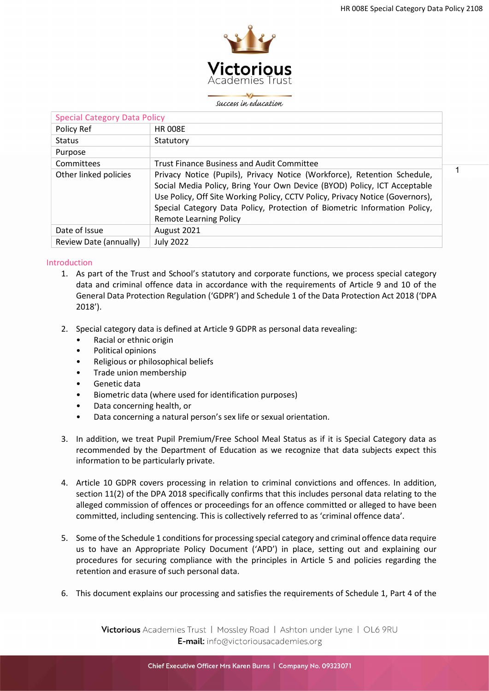1



#### success in education

| <b>Special Category Data Policy</b> |                                                                                                                                                                                                                                                                                                                                                     |
|-------------------------------------|-----------------------------------------------------------------------------------------------------------------------------------------------------------------------------------------------------------------------------------------------------------------------------------------------------------------------------------------------------|
| Policy Ref                          | <b>HR 008E</b>                                                                                                                                                                                                                                                                                                                                      |
| <b>Status</b>                       | Statutory                                                                                                                                                                                                                                                                                                                                           |
| Purpose                             |                                                                                                                                                                                                                                                                                                                                                     |
| Committees                          | <b>Trust Finance Business and Audit Committee</b>                                                                                                                                                                                                                                                                                                   |
| Other linked policies               | Privacy Notice (Pupils), Privacy Notice (Workforce), Retention Schedule,<br>Social Media Policy, Bring Your Own Device (BYOD) Policy, ICT Acceptable<br>Use Policy, Off Site Working Policy, CCTV Policy, Privacy Notice (Governors),<br>Special Category Data Policy, Protection of Biometric Information Policy,<br><b>Remote Learning Policy</b> |
| Date of Issue                       | August 2021                                                                                                                                                                                                                                                                                                                                         |
| Review Date (annually)              | <b>July 2022</b>                                                                                                                                                                                                                                                                                                                                    |

### Introduction

- 1. As part of the Trust and School's statutory and corporate functions, we process special category data and criminal offence data in accordance with the requirements of Article 9 and 10 of the General Data Protection Regulation ('GDPR') and Schedule 1 of the Data Protection Act 2018 ('DPA 2018').
- 2. Special category data is defined at Article 9 GDPR as personal data revealing:
	- Racial or ethnic origin
	- Political opinions
	- Religious or philosophical beliefs
	- Trade union membership
	- Genetic data
	- Biometric data (where used for identification purposes)
	- Data concerning health, or
	- Data concerning a natural person's sex life or sexual orientation.
- 3. In addition, we treat Pupil Premium/Free School Meal Status as if it is Special Category data as recommended by the Department of Education as we recognize that data subjects expect this information to be particularly private.
- 4. Article 10 GDPR covers processing in relation to criminal convictions and offences. In addition, section 11(2) of the DPA 2018 specifically confirms that this includes personal data relating to the alleged commission of offences or proceedings for an offence committed or alleged to have been committed, including sentencing. This is collectively referred to as 'criminal offence data'.
- 5. Some of the Schedule 1 conditions for processing special category and criminal offence data require us to have an Appropriate Policy Document ('APD') in place, setting out and explaining our procedures for securing compliance with the principles in Article 5 and policies regarding the retention and erasure of such personal data.
- 6. This document explains our processing and satisfies the requirements of Schedule 1, Part 4 of the

Victorious Academies Trust | Mossley Road | Ashton under Lyne | OL6 9RU E-mail: info@victoriousacademies.org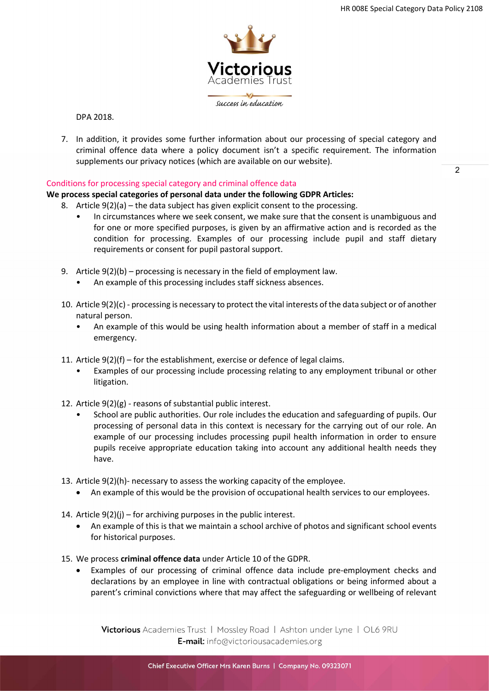

DPA 2018.

7. In addition, it provides some further information about our processing of special category and criminal offence data where a policy document isn't a specific requirement. The information supplements our privacy notices (which are available on our website).

## Conditions for processing special category and criminal offence data

## We process special categories of personal data under the following GDPR Articles:

- 8. Article 9(2)(a) the data subject has given explicit consent to the processing.
	- In circumstances where we seek consent, we make sure that the consent is unambiguous and for one or more specified purposes, is given by an affirmative action and is recorded as the condition for processing. Examples of our processing include pupil and staff dietary requirements or consent for pupil pastoral support.
- 9. Article 9(2)(b) processing is necessary in the field of employment law.
	- An example of this processing includes staff sickness absences.
- 10. Article 9(2)(c) processing is necessary to protect the vital interests of the data subject or of another natural person.
	- An example of this would be using health information about a member of staff in a medical emergency.
- 11. Article 9(2)(f) for the establishment, exercise or defence of legal claims.
	- Examples of our processing include processing relating to any employment tribunal or other litigation.
- 12. Article 9(2)(g) reasons of substantial public interest.
	- School are public authorities. Our role includes the education and safeguarding of pupils. Our processing of personal data in this context is necessary for the carrying out of our role. An example of our processing includes processing pupil health information in order to ensure pupils receive appropriate education taking into account any additional health needs they have.
- 13. Article 9(2)(h)- necessary to assess the working capacity of the employee.
	- An example of this would be the provision of occupational health services to our employees.
- 14. Article  $9(2)(i)$  for archiving purposes in the public interest.
	- An example of this is that we maintain a school archive of photos and significant school events for historical purposes.
- 15. We process criminal offence data under Article 10 of the GDPR.
	- Examples of our processing of criminal offence data include pre-employment checks and declarations by an employee in line with contractual obligations or being informed about a parent's criminal convictions where that may affect the safeguarding or wellbeing of relevant

Victorious Academies Trust | Mossley Road | Ashton under Lyne | OL6 9RU E-mail: info@victoriousacademies.org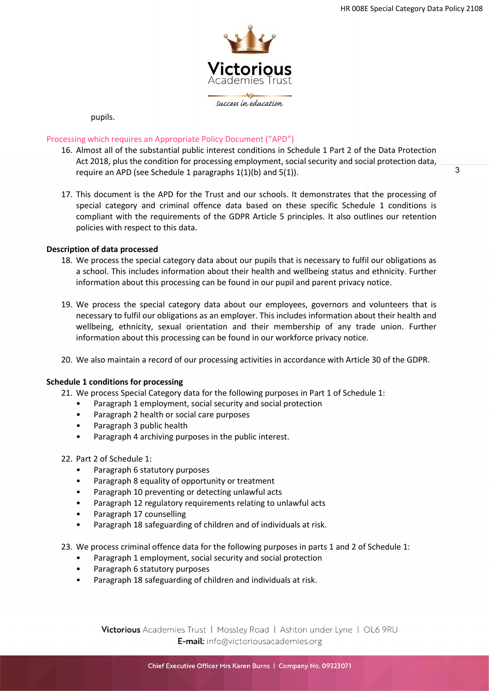3



pupils.

## Processing which requires an Appropriate Policy Document ("APD")

- 16. Almost all of the substantial public interest conditions in Schedule 1 Part 2 of the Data Protection Act 2018, plus the condition for processing employment, social security and social protection data, require an APD (see Schedule 1 paragraphs 1(1)(b) and 5(1)).
- 17. This document is the APD for the Trust and our schools. It demonstrates that the processing of special category and criminal offence data based on these specific Schedule 1 conditions is compliant with the requirements of the GDPR Article 5 principles. It also outlines our retention policies with respect to this data.

### Description of data processed

- 18. We process the special category data about our pupils that is necessary to fulfil our obligations as a school. This includes information about their health and wellbeing status and ethnicity. Further information about this processing can be found in our pupil and parent privacy notice.
- 19. We process the special category data about our employees, governors and volunteers that is necessary to fulfil our obligations as an employer. This includes information about their health and wellbeing, ethnicity, sexual orientation and their membership of any trade union. Further information about this processing can be found in our workforce privacy notice.
- 20. We also maintain a record of our processing activities in accordance with Article 30 of the GDPR.

### Schedule 1 conditions for processing

- 21. We process Special Category data for the following purposes in Part 1 of Schedule 1:
	- Paragraph 1 employment, social security and social protection
	- Paragraph 2 health or social care purposes
	- Paragraph 3 public health
	- Paragraph 4 archiving purposes in the public interest.

### 22. Part 2 of Schedule 1:

- Paragraph 6 statutory purposes
- Paragraph 8 equality of opportunity or treatment
- Paragraph 10 preventing or detecting unlawful acts
- Paragraph 12 regulatory requirements relating to unlawful acts
- Paragraph 17 counselling
- Paragraph 18 safeguarding of children and of individuals at risk.

23. We process criminal offence data for the following purposes in parts 1 and 2 of Schedule 1:

- Paragraph 1 employment, social security and social protection
- Paragraph 6 statutory purposes
- Paragraph 18 safeguarding of children and individuals at risk.

Victorious Academies Trust | Mossley Road | Ashton under Lyne | OL6 9RU E-mail: info@victoriousacademies.org

Chief Executive Officer Mrs Karen Burns | Company No. 09323071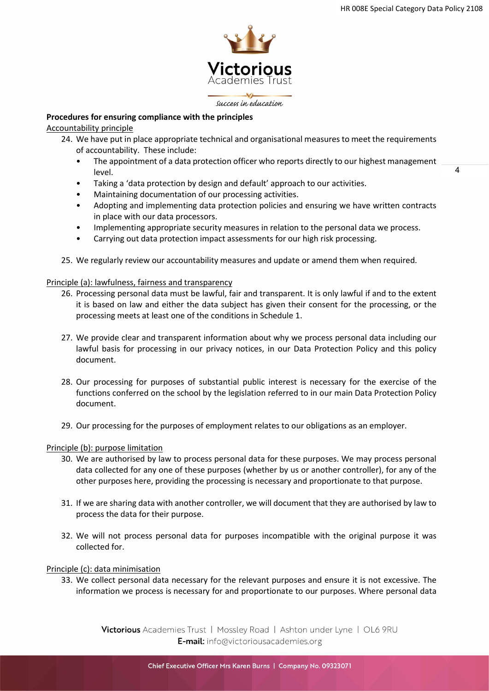$\overline{A}$ 



success in education

# Procedures for ensuring compliance with the principles

Accountability principle

- 24. We have put in place appropriate technical and organisational measures to meet the requirements of accountability. These include:
	- The appointment of a data protection officer who reports directly to our highest management level.
	- Taking a 'data protection by design and default' approach to our activities.
	- Maintaining documentation of our processing activities.
	- Adopting and implementing data protection policies and ensuring we have written contracts in place with our data processors.
	- Implementing appropriate security measures in relation to the personal data we process.
	- Carrying out data protection impact assessments for our high risk processing.
- 25. We regularly review our accountability measures and update or amend them when required.

## Principle (a): lawfulness, fairness and transparency

- 26. Processing personal data must be lawful, fair and transparent. It is only lawful if and to the extent it is based on law and either the data subject has given their consent for the processing, or the processing meets at least one of the conditions in Schedule 1.
- 27. We provide clear and transparent information about why we process personal data including our lawful basis for processing in our privacy notices, in our Data Protection Policy and this policy document.
- 28. Our processing for purposes of substantial public interest is necessary for the exercise of the functions conferred on the school by the legislation referred to in our main Data Protection Policy document.
- 29. Our processing for the purposes of employment relates to our obligations as an employer.

## Principle (b): purpose limitation

- 30. We are authorised by law to process personal data for these purposes. We may process personal data collected for any one of these purposes (whether by us or another controller), for any of the other purposes here, providing the processing is necessary and proportionate to that purpose.
- 31. If we are sharing data with another controller, we will document that they are authorised by law to process the data for their purpose.
- 32. We will not process personal data for purposes incompatible with the original purpose it was collected for.

### Principle (c): data minimisation

33. We collect personal data necessary for the relevant purposes and ensure it is not excessive. The information we process is necessary for and proportionate to our purposes. Where personal data

> Victorious Academies Trust | Mossley Road | Ashton under Lyne | OL6 9RU E-mail: info@victoriousacademies.org